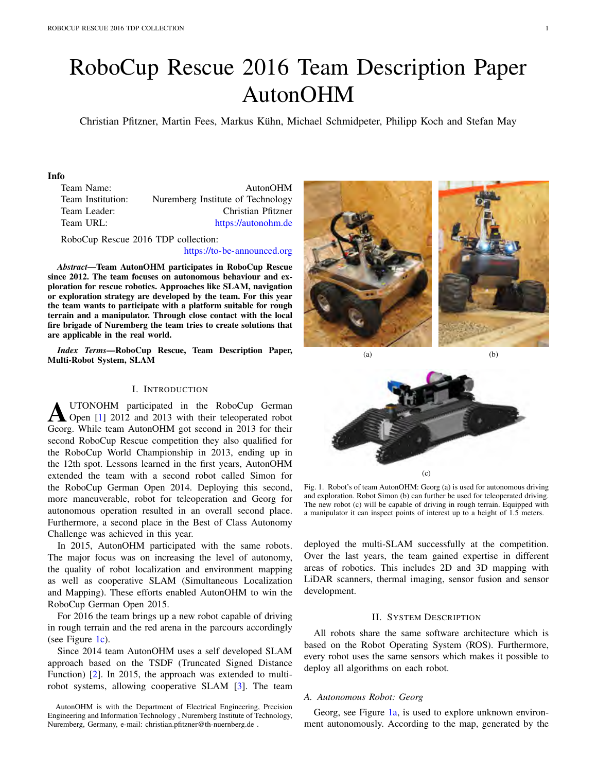# RoboCup Rescue 2016 Team Description Paper AutonOHM

Christian Pfitzner, Martin Fees, Markus Kuhn, Michael Schmidpeter, Philipp Koch and Stefan May ¨

# Info

Team Name: AutonOHM Team Institution: Nuremberg Institute of Technology Team Leader: Christian Pfitzner Team URL: https://autonohm.de

RoboCup Rescue 2016 TDP collection:

https://to-be-announced.org

*Abstract*—Team AutonOHM participates in RoboCup Rescue since 2012. The team focuses on autonomous behaviour and exploration for rescue robotics. Approaches like SLAM, navigation or exploration strategy are developed by the team. For this year the team wants to participate with a platform suitable for rough terrain and a manipulator. Through close contact with the local fire brigade of Nuremberg the team tries to create solutions that are applicable in the real world.

*Index Terms*—RoboCup Rescue, Team Description Paper, Multi-Robot System, SLAM

# I. INTRODUCTION

**AUTONOHM** participated in the RoboCup German<br>Open [1] 2012 and 2013 with their teleoperated robot Georg. While team AutonOHM got second in 2013 for their second RoboCup Rescue competition they also qualified for the RoboCup World Championship in 2013, ending up in the 12th spot. Lessons learned in the first years, AutonOHM extended the team with a second robot called Simon for the RoboCup German Open 2014. Deploying this second, more maneuverable, robot for teleoperation and Georg for autonomous operation resulted in an overall second place. Furthermore, a second place in the Best of Class Autonomy Challenge was achieved in this year.

In 2015, AutonOHM participated with the same robots. The major focus was on increasing the level of autonomy, the quality of robot localization and environment mapping as well as cooperative SLAM (Simultaneous Localization and Mapping). These efforts enabled AutonOHM to win the RoboCup German Open 2015.

For 2016 the team brings up a new robot capable of driving in rough terrain and the red arena in the parcours accordingly (see Figure 1c).

Since 2014 team AutonOHM uses a self developed SLAM approach based on the TSDF (Truncated Signed Distance Function) [2]. In 2015, the approach was extended to multirobot systems, allowing cooperative SLAM [3]. The team



 $(a)$  (b)



Fig. 1. Robot's of team AutonOHM: Georg (a) is used for autonomous driving and exploration. Robot Simon (b) can further be used for teleoperated driving. The new robot (c) will be capable of driving in rough terrain. Equipped with a manipulator it can inspect points of interest up to a height of 1.5 meters.

deployed the multi-SLAM successfully at the competition. Over the last years, the team gained expertise in different areas of robotics. This includes 2D and 3D mapping with LiDAR scanners, thermal imaging, sensor fusion and sensor development.

## II. SYSTEM DESCRIPTION

All robots share the same software architecture which is based on the Robot Operating System (ROS). Furthermore, every robot uses the same sensors which makes it possible to deploy all algorithms on each robot.

# *A. Autonomous Robot: Georg*

Georg, see Figure 1a, is used to explore unknown environment autonomously. According to the map, generated by the

AutonOHM is with the Department of Electrical Engineering, Precision Engineering and Information Technology , Nuremberg Institute of Technology, Nuremberg, Germany, e-mail: christian.pfitzner@th-nuernberg.de .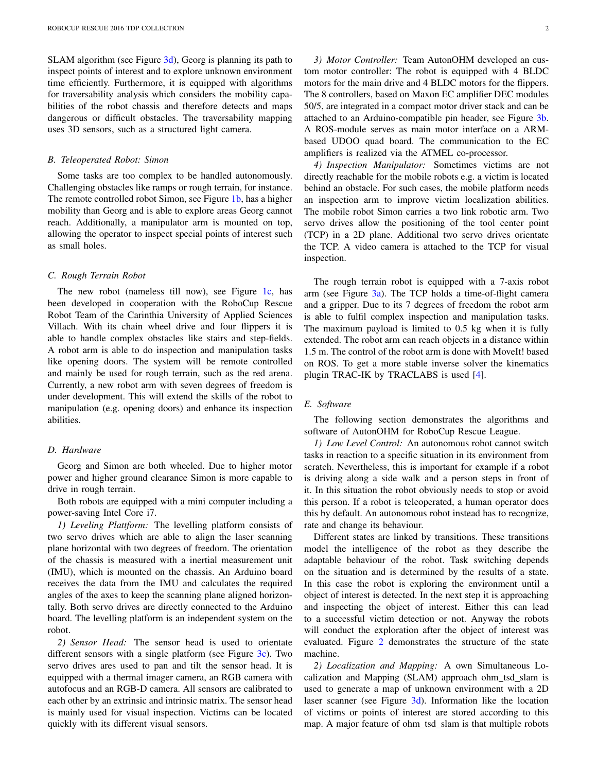SLAM algorithm (see Figure  $3d$ ), Georg is planning its path to inspect points of interest and to explore unknown environment time efficiently. Furthermore, it is equipped with algorithms for traversability analysis which considers the mobility capabilities of the robot chassis and therefore detects and maps dangerous or difficult obstacles. The traversability mapping uses 3D sensors, such as a structured light camera.

## *B. Teleoperated Robot: Simon*

Some tasks are too complex to be handled autonomously. Challenging obstacles like ramps or rough terrain, for instance. The remote controlled robot Simon, see Figure 1b, has a higher mobility than Georg and is able to explore areas Georg cannot reach. Additionally, a manipulator arm is mounted on top, allowing the operator to inspect special points of interest such as small holes.

## *C. Rough Terrain Robot*

The new robot (nameless till now), see Figure 1c, has been developed in cooperation with the RoboCup Rescue Robot Team of the Carinthia University of Applied Sciences Villach. With its chain wheel drive and four flippers it is able to handle complex obstacles like stairs and step-fields. A robot arm is able to do inspection and manipulation tasks like opening doors. The system will be remote controlled and mainly be used for rough terrain, such as the red arena. Currently, a new robot arm with seven degrees of freedom is under development. This will extend the skills of the robot to manipulation (e.g. opening doors) and enhance its inspection abilities.

# *D. Hardware*

Georg and Simon are both wheeled. Due to higher motor power and higher ground clearance Simon is more capable to drive in rough terrain.

Both robots are equipped with a mini computer including a power-saving Intel Core i7.

*1) Leveling Plattform:* The levelling platform consists of two servo drives which are able to align the laser scanning plane horizontal with two degrees of freedom. The orientation of the chassis is measured with a inertial measurement unit (IMU), which is mounted on the chassis. An Arduino board receives the data from the IMU and calculates the required angles of the axes to keep the scanning plane aligned horizontally. Both servo drives are directly connected to the Arduino board. The levelling platform is an independent system on the robot.

*2) Sensor Head:* The sensor head is used to orientate different sensors with a single platform (see Figure 3c). Two servo drives ares used to pan and tilt the sensor head. It is equipped with a thermal imager camera, an RGB camera with autofocus and an RGB-D camera. All sensors are calibrated to each other by an extrinsic and intrinsic matrix. The sensor head is mainly used for visual inspection. Victims can be located quickly with its different visual sensors.

*3) Motor Controller:* Team AutonOHM developed an custom motor controller: The robot is equipped with 4 BLDC motors for the main drive and 4 BLDC motors for the flippers. The 8 controllers, based on Maxon EC amplifier DEC modules 50/5, are integrated in a compact motor driver stack and can be attached to an Arduino-compatible pin header, see Figure 3b. A ROS-module serves as main motor interface on a ARMbased UDOO quad board. The communication to the EC amplifiers is realized via the ATMEL co-processor.

*4) Inspection Manipulator:* Sometimes victims are not directly reachable for the mobile robots e.g. a victim is located behind an obstacle. For such cases, the mobile platform needs an inspection arm to improve victim localization abilities. The mobile robot Simon carries a two link robotic arm. Two servo drives allow the positioning of the tool center point (TCP) in a 2D plane. Additional two servo drives orientate the TCP. A video camera is attached to the TCP for visual inspection.

The rough terrain robot is equipped with a 7-axis robot arm (see Figure  $3a$ ). The TCP holds a time-of-flight camera and a gripper. Due to its 7 degrees of freedom the robot arm is able to fulfil complex inspection and manipulation tasks. The maximum payload is limited to 0.5 kg when it is fully extended. The robot arm can reach objects in a distance within 1.5 m. The control of the robot arm is done with MoveIt! based on ROS. To get a more stable inverse solver the kinematics plugin TRAC-IK by TRACLABS is used [4].

## *E. Software*

The following section demonstrates the algorithms and software of AutonOHM for RoboCup Rescue League.

*1) Low Level Control:* An autonomous robot cannot switch tasks in reaction to a specific situation in its environment from scratch. Nevertheless, this is important for example if a robot is driving along a side walk and a person steps in front of it. In this situation the robot obviously needs to stop or avoid this person. If a robot is teleoperated, a human operator does this by default. An autonomous robot instead has to recognize, rate and change its behaviour.

Different states are linked by transitions. These transitions model the intelligence of the robot as they describe the adaptable behaviour of the robot. Task switching depends on the situation and is determined by the results of a state. In this case the robot is exploring the environment until a object of interest is detected. In the next step it is approaching and inspecting the object of interest. Either this can lead to a successful victim detection or not. Anyway the robots will conduct the exploration after the object of interest was evaluated. Figure 2 demonstrates the structure of the state machine.

*2) Localization and Mapping:* A own Simultaneous Localization and Mapping (SLAM) approach ohm\_tsd\_slam is used to generate a map of unknown environment with a 2D laser scanner (see Figure 3d). Information like the location of victims or points of interest are stored according to this map. A major feature of ohm\_tsd\_slam is that multiple robots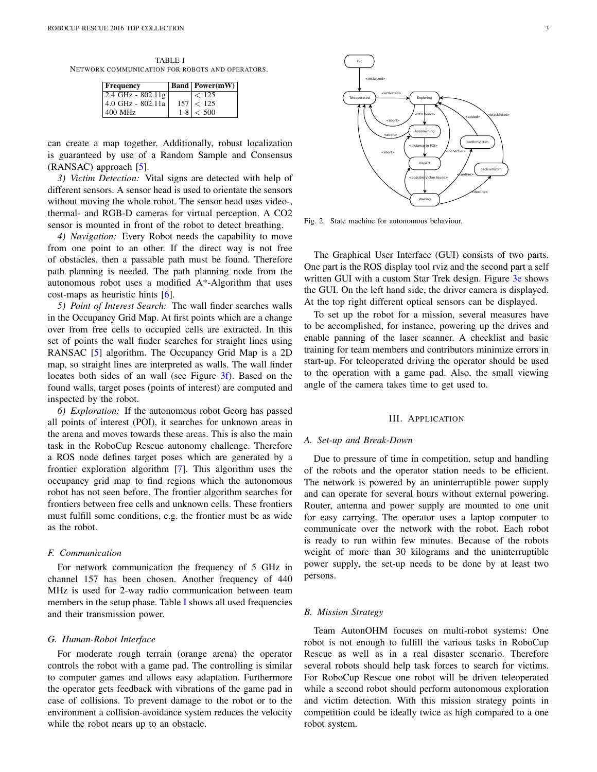TABLE I NETWORK COMMUNICATION FOR ROBOTS AND OPERATORS.

| <b>Frequency</b>    |         | <b>Band Power(mW)</b> |
|---------------------|---------|-----------------------|
| 2.4 GHz - $802.11g$ |         | < 125                 |
| 4.0 GHz - 802.11a   | 157     | < 125                 |
| 400 MHz             | $1 - 8$ | < 500                 |

can create a map together. Additionally, robust localization is guaranteed by use of a Random Sample and Consensus (RANSAC) approach [5].

*3) Victim Detection:* Vital signs are detected with help of different sensors. A sensor head is used to orientate the sensors without moving the whole robot. The sensor head uses video-, thermal- and RGB-D cameras for virtual perception. A CO2 sensor is mounted in front of the robot to detect breathing.

*4) Navigation:* Every Robot needs the capability to move from one point to an other. If the direct way is not free of obstacles, then a passable path must be found. Therefore path planning is needed. The path planning node from the autonomous robot uses a modified A\*-Algorithm that uses cost-maps as heuristic hints [6].

*5) Point of Interest Search:* The wall finder searches walls in the Occupancy Grid Map. At first points which are a change over from free cells to occupied cells are extracted. In this set of points the wall finder searches for straight lines using RANSAC [5] algorithm. The Occupancy Grid Map is a 2D map, so straight lines are interpreted as walls. The wall finder locates both sides of an wall (see Figure 3f). Based on the found walls, target poses (points of interest) are computed and inspected by the robot.

*6) Exploration:* If the autonomous robot Georg has passed all points of interest (POI), it searches for unknown areas in the arena and moves towards these areas. This is also the main task in the RoboCup Rescue autonomy challenge. Therefore a ROS node defines target poses which are generated by a frontier exploration algorithm [7]. This algorithm uses the occupancy grid map to find regions which the autonomous robot has not seen before. The frontier algorithm searches for frontiers between free cells and unknown cells. These frontiers must fulfill some conditions, e.g. the frontier must be as wide as the robot.

# *F. Communication*

For network communication the frequency of 5 GHz in channel 157 has been chosen. Another frequency of 440 MHz is used for 2-way radio communication between team members in the setup phase. Table I shows all used frequencies and their transmission power.

## *G. Human-Robot Interface*

For moderate rough terrain (orange arena) the operator controls the robot with a game pad. The controlling is similar to computer games and allows easy adaptation. Furthermore the operator gets feedback with vibrations of the game pad in case of collisions. To prevent damage to the robot or to the environment a collision-avoidance system reduces the velocity while the robot nears up to an obstacle.



Fig. 2. State machine for autonomous behaviour.

The Graphical User Interface (GUI) consists of two parts. One part is the ROS display tool rviz and the second part a self written GUI with a custom Star Trek design. Figure 3e shows the GUI. On the left hand side, the driver camera is displayed. At the top right different optical sensors can be displayed.

To set up the robot for a mission, several measures have to be accomplished, for instance, powering up the drives and enable panning of the laser scanner. A checklist and basic training for team members and contributors minimize errors in start-up. For teleoperated driving the operator should be used to the operation with a game pad. Also, the small viewing angle of the camera takes time to get used to.

#### III. APPLICATION

## *A. Set-up and Break-Down*

Due to pressure of time in competition, setup and handling of the robots and the operator station needs to be efficient. The network is powered by an uninterruptible power supply and can operate for several hours without external powering. Router, antenna and power supply are mounted to one unit for easy carrying. The operator uses a laptop computer to communicate over the network with the robot. Each robot is ready to run within few minutes. Because of the robots weight of more than 30 kilograms and the uninterruptible power supply, the set-up needs to be done by at least two persons.

## *B. Mission Strategy*

Team AutonOHM focuses on multi-robot systems: One robot is not enough to fulfill the various tasks in RoboCup Rescue as well as in a real disaster scenario. Therefore several robots should help task forces to search for victims. For RoboCup Rescue one robot will be driven teleoperated while a second robot should perform autonomous exploration and victim detection. With this mission strategy points in competition could be ideally twice as high compared to a one robot system.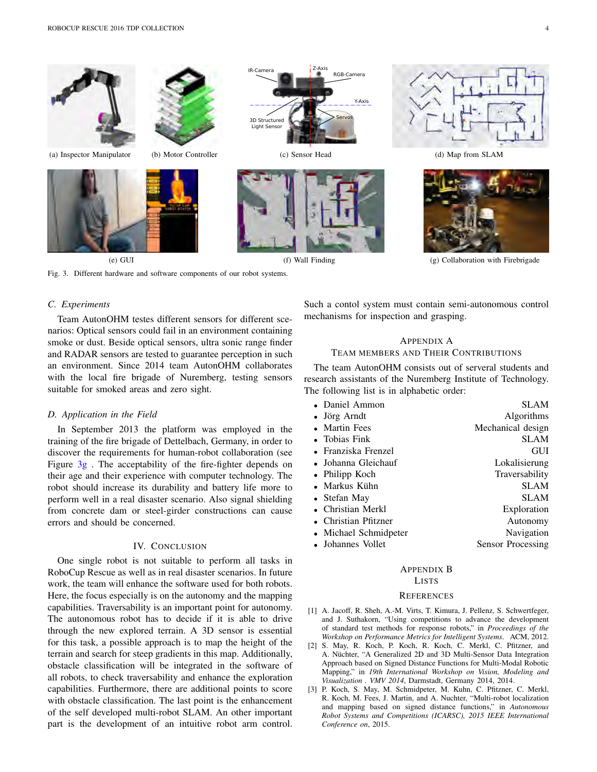

Fig. 3. Different hardware and software components of our robot systems.

# *C. Experiments*

Team AutonOHM testes different sensors for different scenarios: Optical sensors could fail in an environment containing smoke or dust. Beside optical sensors, ultra sonic range finder and RADAR sensors are tested to guarantee perception in such an environment. Since 2014 team AutonOHM collaborates with the local fire brigade of Nuremberg, testing sensors suitable for smoked areas and zero sight.

## *D. Application in the Field*

In September 2013 the platform was employed in the training of the fire brigade of Dettelbach, Germany, in order to discover the requirements for human-robot collaboration (see Figure  $3g$ . The acceptability of the fire-fighter depends on their age and their experience with computer technology. The robot should increase its durability and battery life more to perform well in a real disaster scenario. Also signal shielding from concrete dam or steel-girder constructions can cause errors and should be concerned.

# IV. CONCLUSION

One single robot is not suitable to perform all tasks in RoboCup Rescue as well as in real disaster scenarios. In future work, the team will enhance the software used for both robots. Here, the focus especially is on the autonomy and the mapping capabilities. Traversability is an important point for autonomy. The autonomous robot has to decide if it is able to drive through the new explored terrain. A 3D sensor is essential for this task, a possible approach is to map the height of the terrain and search for steep gradients in this map. Additionally, obstacle classification will be integrated in the software of all robots, to check traversability and enhance the exploration capabilities. Furthermore, there are additional points to score with obstacle classification. The last point is the enhancement of the self developed multi-robot SLAM. An other important part is the development of an intuitive robot arm control.

Such a contol system must contain semi-autonomous control mechanisms for inspection and grasping.

# APPENDIX A TEAM MEMBERS AND THEIR CONTRIBUTIONS

The team AutonOHM consists out of serveral students and research assistants of the Nuremberg Institute of Technology. The following list is in alphabetic order:

| • Daniel Ammon        | <b>SLAM</b>       |
|-----------------------|-------------------|
| • Jörg Arndt          | Algorithms        |
| • Martin Fees         | Mechanical design |
| • Tobias Fink         | <b>SLAM</b>       |
| • Franziska Frenzel   | GUI               |
| • Johanna Gleichauf   | Lokalisierung     |
| • Philipp Koch        | Traversability    |
| • Markus Kühn         | <b>SLAM</b>       |
| • Stefan May          | SLAM              |
| • Christian Merkl     | Exploration       |
| • Christian Pfitzner  | Autonomy          |
| • Michael Schmidpeter | Navigation        |
| • Johannes Vollet     | Sensor Processing |
|                       |                   |

# APPENDIX B

#### LISTS

#### **REFERENCES**

- [1] A. Jacoff, R. Sheh, A.-M. Virts, T. Kimura, J. Pellenz, S. Schwertfeger, and J. Suthakorn, "Using competitions to advance the development of standard test methods for response robots," in *Proceedings of the Workshop on Performance Metrics for Intelligent Systems*. ACM, 2012.
- [2] S. May, R. Koch, P. Koch, R. Koch, C. Merkl, C. Pfitzner, and A. Nüchter, "A Generalized 2D and 3D Multi-Sensor Data Integration Approach based on Signed Distance Functions for Multi-Modal Robotic Mapping," in *19th International Workshop on Vision, Modeling and Visualization . VMV 2014*, Darmstadt, Germany 2014, 2014.
- [3] P. Koch, S. May, M. Schmidpeter, M. Kuhn, C. Pfitzner, C. Merkl, R. Koch, M. Fees, J. Martin, and A. Nuchter, "Multi-robot localization and mapping based on signed distance functions," in *Autonomous Robot Systems and Competitions (ICARSC), 2015 IEEE International Conference on*, 2015.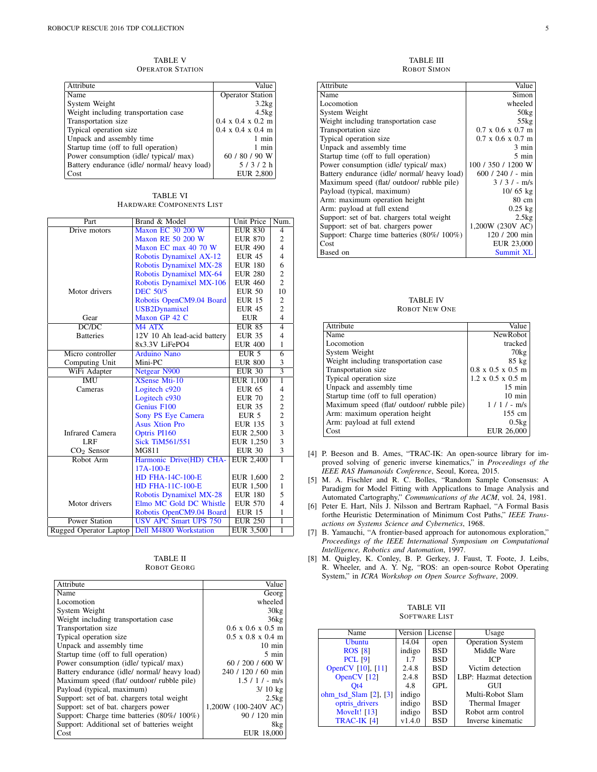TABLE V OPERATOR STATION

| Attribute                                    | Value                                 |
|----------------------------------------------|---------------------------------------|
| Name                                         | <b>Operator Station</b>               |
| System Weight                                | 3.2kg                                 |
| Weight including transportation case         | 4.5kg                                 |
| Transportation size                          | $0.4 \times 0.4 \times 0.2 \text{ m}$ |
| Typical operation size                       | $0.4 \times 0.4 \times 0.4 \text{ m}$ |
| Unpack and assembly time                     | $1$ min                               |
| Startup time (off to full operation)         | 1 min                                 |
| Power consumption (idle/ typical/ max)       | 60 / 80 / 90 W                        |
| Battery endurance (idle/ normal/ heavy load) | 5/3/2 h                               |
| Cost                                         | <b>EUR 2,800</b>                      |

TABLE VI HARDWARE COMPONENTS LIST

| Part                   | Brand & Model                  | Unit Price       | Num.                                            |
|------------------------|--------------------------------|------------------|-------------------------------------------------|
| Drive motors           | <b>Maxon EC 30 200 W</b>       | <b>EUR 830</b>   | $\overline{4}$                                  |
|                        | <b>Maxon RE 50 200 W</b>       | <b>EUR 870</b>   | $\overline{c}$                                  |
|                        | Maxon EC max 40 70 W           | <b>EUR 490</b>   | $\overline{\mathbf{4}}$                         |
|                        | Robotis Dynamixel AX-12        | <b>EUR 45</b>    | $\overline{4}$                                  |
|                        | <b>Robotis Dynamixel MX-28</b> | <b>EUR 180</b>   | 6                                               |
|                        | Robotis Dynamixel MX-64        | <b>EUR 280</b>   | $\overline{\mathbf{c}}$                         |
|                        | Robotis Dynamixel MX-106       | <b>EUR 460</b>   | $\overline{2}$                                  |
| Motor drivers          | <b>DEC 50/5</b>                | <b>EUR 50</b>    | 10                                              |
|                        | Robotis OpenCM9.04 Board       | <b>EUR 15</b>    | 2                                               |
|                        | USB2Dynamixel                  | <b>EUR 45</b>    | $\overline{c}$                                  |
| Gear                   | Maxon GP 42 C                  | <b>EUR</b>       | $\overline{4}$                                  |
| DC/DC                  | M <sub>4</sub> ATX             | <b>EUR 85</b>    | $\overline{4}$                                  |
| <b>Batteries</b>       | 12V 10 Ah lead-acid battery    | <b>EUR 35</b>    | $\overline{4}$                                  |
|                        | 8x3.3V LiFePO4                 | <b>EUR 400</b>   | 1                                               |
| Micro controller       | <b>Arduino Nano</b>            | EUR <sub>5</sub> | $\overline{6}$                                  |
| Computing Unit         | Mini-PC                        | <b>EUR 800</b>   | 3                                               |
| WiFi Adapter           | Netgear N900                   | <b>EUR 30</b>    | $\overline{3}$                                  |
| <b>IMU</b>             | <b>XSense Mti-10</b>           | EUR 1,100        | ī                                               |
| Cameras                | Logitech c920                  | <b>EUR 65</b>    | $\overline{4}$                                  |
|                        | Logitech c930                  | <b>EUR 70</b>    | $\overline{c}$                                  |
|                        | Genius F100                    | <b>EUR 35</b>    | $\overline{\mathbf{c}}$                         |
|                        | Sony PS Eye Camera             | EUR <sub>5</sub> |                                                 |
|                        | <b>Asus Xtion Pro</b>          | <b>EUR 135</b>   | $\begin{array}{c} 2 \\ 3 \\ 3 \\ 3 \end{array}$ |
| <b>Infrared Camera</b> | Optris PI160                   | EUR 2,500        |                                                 |
| LRF                    | <b>Sick TiM561/551</b>         | EUR 1,250        |                                                 |
| $CO2$ Sensor           | MG811                          | <b>EUR 30</b>    | $\overline{\mathbf{3}}$                         |
| Robot Arm              | Harmonic Drive(HD) CHA-        | <b>EUR 2,400</b> | $\overline{1}$                                  |
|                        | 17A-100-E                      |                  |                                                 |
|                        | <b>HD FHA-14C-100-E</b>        | EUR 1,600        | $\mathfrak{2}$                                  |
|                        | <b>HD FHA-11C-100-E</b>        | <b>EUR 1,500</b> | $\mathbf{1}$                                    |
|                        | <b>Robotis Dynamixel MX-28</b> | <b>EUR 180</b>   | 5                                               |
| Motor drivers          | Elmo MC Gold DC Whistle        | <b>EUR 570</b>   | $\overline{4}$                                  |
|                        | Robotis OpenCM9.04 Board       | <b>EUR 15</b>    | $\mathbf{1}$                                    |
| <b>Power Station</b>   | <b>USV APC Smart UPS 750</b>   | <b>EUR 250</b>   | $\overline{1}$                                  |
| Rugged Operator Laptop | <b>Dell M4800 Workstation</b>  | <b>EUR 3,500</b> | ī                                               |

| TABLE II    |
|-------------|
| ROBOT GEORG |

| Attribute                                    | Value                         |
|----------------------------------------------|-------------------------------|
| Name                                         | Georg                         |
| Locomotion                                   | wheeled                       |
| System Weight                                | 30kg                          |
| Weight including transportation case         | 36kg                          |
| Transportation size                          | $0.6 \times 0.6 \times 0.5$ m |
| Typical operation size                       | $0.5 \times 0.8 \times 0.4$ m |
| Unpack and assembly time                     | $10 \text{ min}$              |
| Startup time (off to full operation)         | $5 \text{ min}$               |
| Power consumption (idle/ typical/ max)       | 60 / 200 / 600 W              |
| Battery endurance (idle/ normal/ heavy load) | 240 / 120 / 60 min            |
| Maximum speed (flat/ outdoor/ rubble pile)   | $1.5 / 1 / - m/s$             |
| Payload (typical, maximum)                   | $3/10$ kg                     |
| Support: set of bat. chargers total weight   | 2.5kg                         |
| Support: set of bat. chargers power          | 1,200W (100-240V AC)          |
| Support: Charge time batteries (80%/ 100%)   | 90 / 120 min                  |
| Support: Additional set of batteries weight  | 8kg                           |
| Cost                                         | EUR 18.000                    |

TABLE III ROBOT SIMON

| Attribute                                    | Value                                 |
|----------------------------------------------|---------------------------------------|
| Name                                         | Simon                                 |
| Locomotion                                   | wheeled                               |
| System Weight                                | 50kg                                  |
| Weight including transportation case         | 55kg                                  |
| Transportation size                          | $0.7 \times 0.6 \times 0.7$ m         |
| Typical operation size                       | $0.7 \times 0.6 \times 0.7 \text{ m}$ |
| Unpack and assembly time                     | $3 \text{ min}$                       |
| Startup time (off to full operation)         | $5 \text{ min}$                       |
| Power consumption (idle/ typical/ max)       | 100 / 350 / 1200 W                    |
| Battery endurance (idle/ normal/ heavy load) | $600 / 240$ / - min                   |
| Maximum speed (flat/ outdoor/ rubble pile)   | $3/3/-$ m/s                           |
| Payload (typical, maximum)                   | $10/65$ kg                            |
| Arm: maximum operation height                | 80 cm                                 |
| Arm: payload at full extend                  | $0.25$ kg                             |
| Support: set of bat. chargers total weight   | 2.5kg                                 |
| Support: set of bat. chargers power          | 1,200W (230V AC)                      |
| Support: Charge time batteries (80%/100%)    | 120 / 200 min                         |
| Cost                                         | EUR 23,000                            |
| Based on                                     | <b>Summit XL</b>                      |

TABLE IV ROBOT NEW ONE

| Attribute                                  | Value                                 |
|--------------------------------------------|---------------------------------------|
| Name                                       | <b>NewRobot</b>                       |
| Locomotion                                 | tracked                               |
| System Weight                              | $70\text{kg}$                         |
| Weight including transportation case       | $85$ kg                               |
| Transportation size                        | $0.8 \times 0.5 \times 0.5 \text{ m}$ |
| Typical operation size                     | $1.2 \times 0.5 \times 0.5$ m         |
| Unpack and assembly time                   | $15 \text{ min}$                      |
| Startup time (off to full operation)       | $10 \text{ min}$                      |
| Maximum speed (flat/ outdoor/ rubble pile) | $1/1/-$ m/s                           |
| Arm: maximum operation height              | 155 cm                                |
| Arm: payload at full extend                | 0.5kg                                 |
| Cost                                       | EUR 26,000                            |

- [4] P. Beeson and B. Ames, "TRAC-IK: An open-source library for improved solving of generic inverse kinematics," in *Proceedings of the IEEE RAS Humanoids Conference*, Seoul, Korea, 2015.
- [5] M. A. Fischler and R. C. Bolles, "Random Sample Consensus: A Paradigm for Model Fitting with Applicatlons to Image Analysis and Automated Cartography," *Communications of the ACM*, vol. 24, 1981.
- [6] Peter E. Hart, Nils J. Nilsson and Bertram Raphael, "A Formal Basis forthe Heuristic Determination of Minimum Cost Paths," *IEEE Transactions on Systems Science and Cybernetics*, 1968.
- [7] B. Yamauchi, "A frontier-based approach for autonomous exploration," *Proceedings of the IEEE International Symposium on Computational Intelligence, Robotics and Automation*, 1997.
- [8] M. Quigley, K. Conley, B. P. Gerkey, J. Faust, T. Foote, J. Leibs, R. Wheeler, and A. Y. Ng, "ROS: an open-source Robot Operating System," in *ICRA Workshop on Open Source Software*, 2009.

TABLE VII SOFTWARE LIST

| Name                       |        | Version   License | Usage                   |
|----------------------------|--------|-------------------|-------------------------|
| Ubuntu                     | 14.04  | open              | <b>Operation System</b> |
| <b>ROS [8]</b>             | indigo | <b>BSD</b>        | Middle Ware             |
| <b>PCL [9]</b>             | 1.7    | <b>BSD</b>        | <b>ICP</b>              |
| OpenCV [10], [11]          | 2.4.8  | <b>BSD</b>        | Victim detection        |
| OpenCV [12]                | 2.4.8  | <b>BSD</b>        | LBP: Hazmat detection   |
| O <sub>t4</sub>            | 4.8    | GPL.              | GUI                     |
| ohm tsd Slam $[2]$ , $[3]$ | indigo |                   | Multi-Robot Slam        |
| optris_drivers             | indigo | <b>BSD</b>        | Thermal Imager          |
| <b>MoveIt!</b> [13]        | indigo | <b>BSD</b>        | Robot arm control       |
| TRAC-IK [4]                | v1.4.0 | <b>BSD</b>        | Inverse kinematic       |